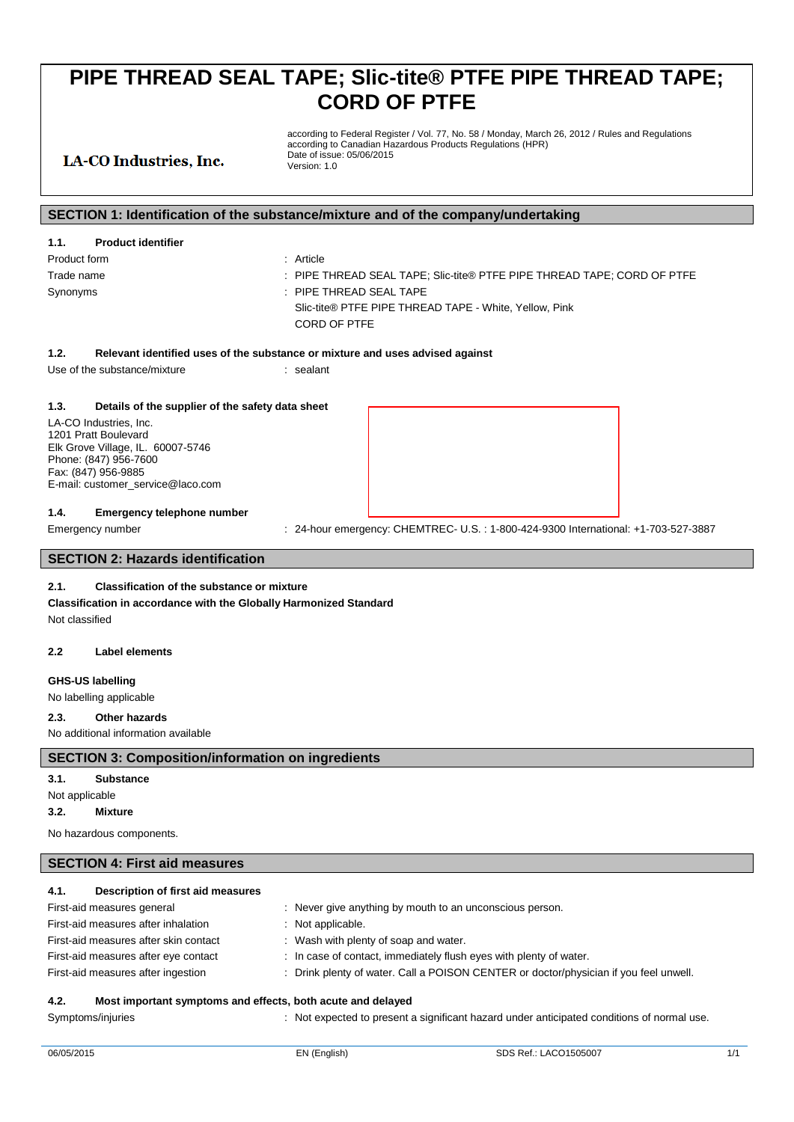according to Federal Register / Vol. 77, No. 58 / Monday, March 26, 2012 / Rules and Regulations according to Canadian Hazardous Products Regulations (HPR) Date of issue: 05/06/2015 Version: 1.0

## LA-CO Industries, Inc.

## **SECTION 1: Identification of the substance/mixture and of the company/undertaking**

| 1.1.         | <b>Product identifier</b> |                                                                         |
|--------------|---------------------------|-------------------------------------------------------------------------|
| Product form |                           | : Article                                                               |
| Trade name   |                           | : PIPE THREAD SEAL TAPE; Slic-tite® PTFE PIPE THREAD TAPE; CORD OF PTFE |
| Synonyms     |                           | $\pm$ PIPE THREAD SEAL TAPE                                             |
|              |                           | Slic-tite® PTFE PIPE THREAD TAPE - White, Yellow, Pink                  |
|              |                           | CORD OF PTFE                                                            |

## **1.2. Relevant identified uses of the substance or mixture and uses advised against**

Use of the substance/mixture : sealant

## **1.3. Details of the supplier of the safety data sheet**

LA-CO Industries, Inc. 1201 Pratt Boulevard Elk Grove Village, IL. 60007-5746 Phone: (847) 956-7600 Fax: (847) 956-9885 E-mail: customer\_service@laco.com

## **1.4. Emergency telephone number**

Emergency number : 24-hour emergency: CHEMTREC- U.S.: 1-800-424-9300 International: +1-703-527-3887

## **SECTION 2: Hazards identification**

## **2.1. Classification of the substance or mixture**

**Classification in accordance with the Globally Harmonized Standard** Not classified

## **2.2 Label elements**

#### **GHS-US labelling**

No labelling applicable

## **2.3. Other hazards**

No additional information available

## **SECTION 3: Composition/information on ingredients**

#### **3.1. Substance**

Not applicable

## **3.2. Mixture**

No hazardous components.

## **SECTION 4: First aid measures**

## **4.1. Description of first aid measures**

| First-aid measures general                                          | : Never give anything by mouth to an unconscious person.                              |
|---------------------------------------------------------------------|---------------------------------------------------------------------------------------|
| First-aid measures after inhalation                                 | : Not applicable.                                                                     |
| First-aid measures after skin contact                               | : Wash with plenty of soap and water.                                                 |
| First-aid measures after eye contact                                | : In case of contact, immediately flush eyes with plenty of water.                    |
| First-aid measures after ingestion                                  | : Drink plenty of water. Call a POISON CENTER or doctor/physician if you feel unwell. |
| 4.2.<br>Most important symptoms and effects, both acute and delayed |                                                                                       |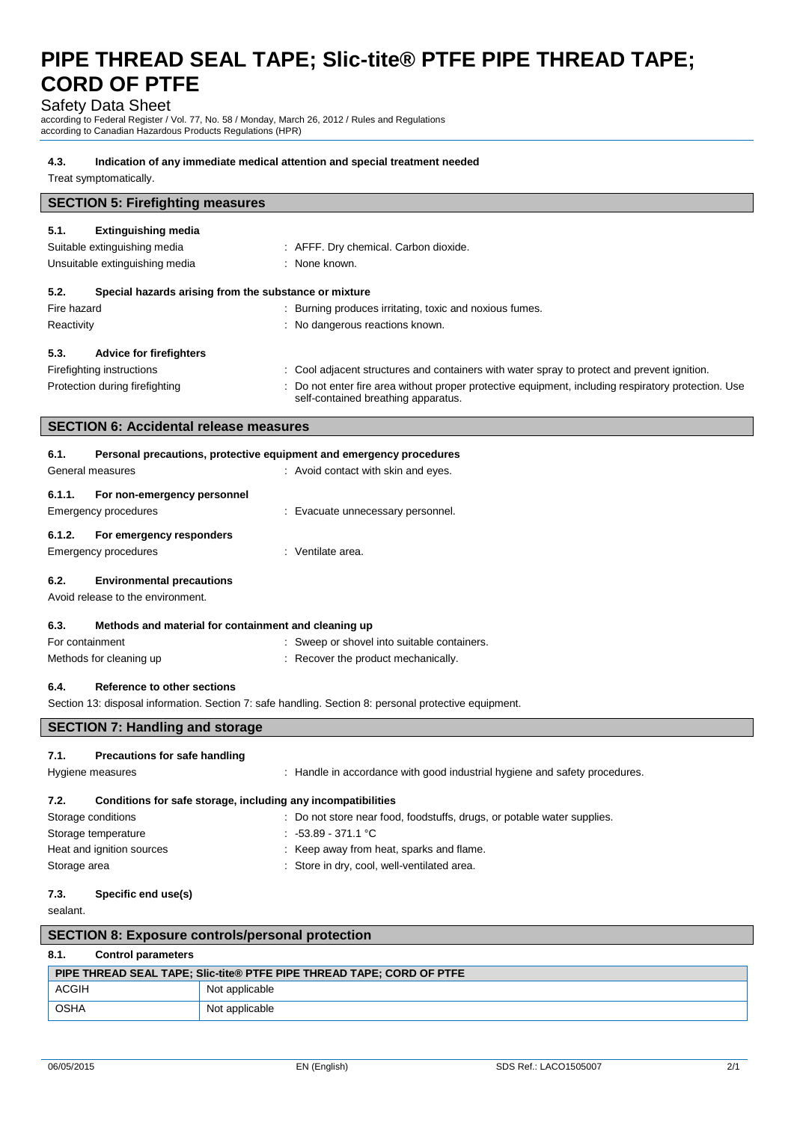## Safety Data Sheet

according to Federal Register / Vol. 77, No. 58 / Monday, March 26, 2012 / Rules and Regulations according to Canadian Hazardous Products Regulations (HPR)

## **4.3. Indication of any immediate medical attention and special treatment needed**

Treat symptomatically.

|                             | <b>SECTION 5: Firefighting measures</b>                                                               |                                                                                                                                          |  |
|-----------------------------|-------------------------------------------------------------------------------------------------------|------------------------------------------------------------------------------------------------------------------------------------------|--|
|                             |                                                                                                       |                                                                                                                                          |  |
| 5.1.                        | <b>Extinguishing media</b>                                                                            |                                                                                                                                          |  |
|                             | Suitable extinguishing media                                                                          | : AFFF. Dry chemical. Carbon dioxide.                                                                                                    |  |
|                             | Unsuitable extinguishing media                                                                        | : None known.                                                                                                                            |  |
| 5.2.                        | Special hazards arising from the substance or mixture                                                 |                                                                                                                                          |  |
| Fire hazard                 |                                                                                                       | : Burning produces irritating, toxic and noxious fumes.                                                                                  |  |
| Reactivity                  |                                                                                                       | : No dangerous reactions known.                                                                                                          |  |
| 5.3.                        | <b>Advice for firefighters</b>                                                                        |                                                                                                                                          |  |
| Firefighting instructions   |                                                                                                       | : Cool adjacent structures and containers with water spray to protect and prevent ignition.                                              |  |
|                             | Protection during firefighting                                                                        | Do not enter fire area without proper protective equipment, including respiratory protection. Use<br>self-contained breathing apparatus. |  |
|                             | <b>SECTION 6: Accidental release measures</b>                                                         |                                                                                                                                          |  |
|                             |                                                                                                       |                                                                                                                                          |  |
| 6.1.                        |                                                                                                       | Personal precautions, protective equipment and emergency procedures                                                                      |  |
| General measures            |                                                                                                       | : Avoid contact with skin and eyes.                                                                                                      |  |
| 6.1.1.                      | For non-emergency personnel                                                                           |                                                                                                                                          |  |
| <b>Emergency procedures</b> |                                                                                                       | : Evacuate unnecessary personnel.                                                                                                        |  |
|                             |                                                                                                       |                                                                                                                                          |  |
| 6.1.2.                      | For emergency responders                                                                              |                                                                                                                                          |  |
| Emergency procedures        |                                                                                                       | : Ventilate area.                                                                                                                        |  |
| 6.2.                        | <b>Environmental precautions</b>                                                                      |                                                                                                                                          |  |
|                             | Avoid release to the environment.                                                                     |                                                                                                                                          |  |
| 6.3.                        | Methods and material for containment and cleaning up                                                  |                                                                                                                                          |  |
| For containment             |                                                                                                       | : Sweep or shovel into suitable containers.                                                                                              |  |
| Methods for cleaning up     |                                                                                                       | Recover the product mechanically.                                                                                                        |  |
|                             |                                                                                                       |                                                                                                                                          |  |
| 6.4.                        | <b>Reference to other sections</b>                                                                    |                                                                                                                                          |  |
|                             | Section 13: disposal information. Section 7: safe handling. Section 8: personal protective equipment. |                                                                                                                                          |  |
|                             |                                                                                                       |                                                                                                                                          |  |

## **SECTION 7: Handling and storage**

#### **7.1. Precautions for safe handling**

| Hygiene measures                                                     | : Handle in accordance with good industrial hygiene and safety procedures. |  |  |
|----------------------------------------------------------------------|----------------------------------------------------------------------------|--|--|
| Conditions for safe storage, including any incompatibilities<br>7.2. |                                                                            |  |  |
| Storage conditions                                                   | : Do not store near food, foodstuffs, drugs, or potable water supplies.    |  |  |
| Storage temperature                                                  | $: -53.89 - 371.1$ °C                                                      |  |  |
| Heat and ignition sources                                            | : Keep away from heat, sparks and flame.                                   |  |  |
| Storage area                                                         | : Store in dry, cool, well-ventilated area.                                |  |  |

## **7.3. Specific end use(s)**

sealant.

|             | <b>SECTION 8: Exposure controls/personal protection</b>               |  |                |  |
|-------------|-----------------------------------------------------------------------|--|----------------|--|
|             | 8.1.<br><b>Control parameters</b>                                     |  |                |  |
|             | PIPE THREAD SEAL TAPE; Slic-tite® PTFE PIPE THREAD TAPE; CORD OF PTFE |  |                |  |
|             | <b>ACGIH</b>                                                          |  | Not applicable |  |
| <b>OSHA</b> |                                                                       |  | Not applicable |  |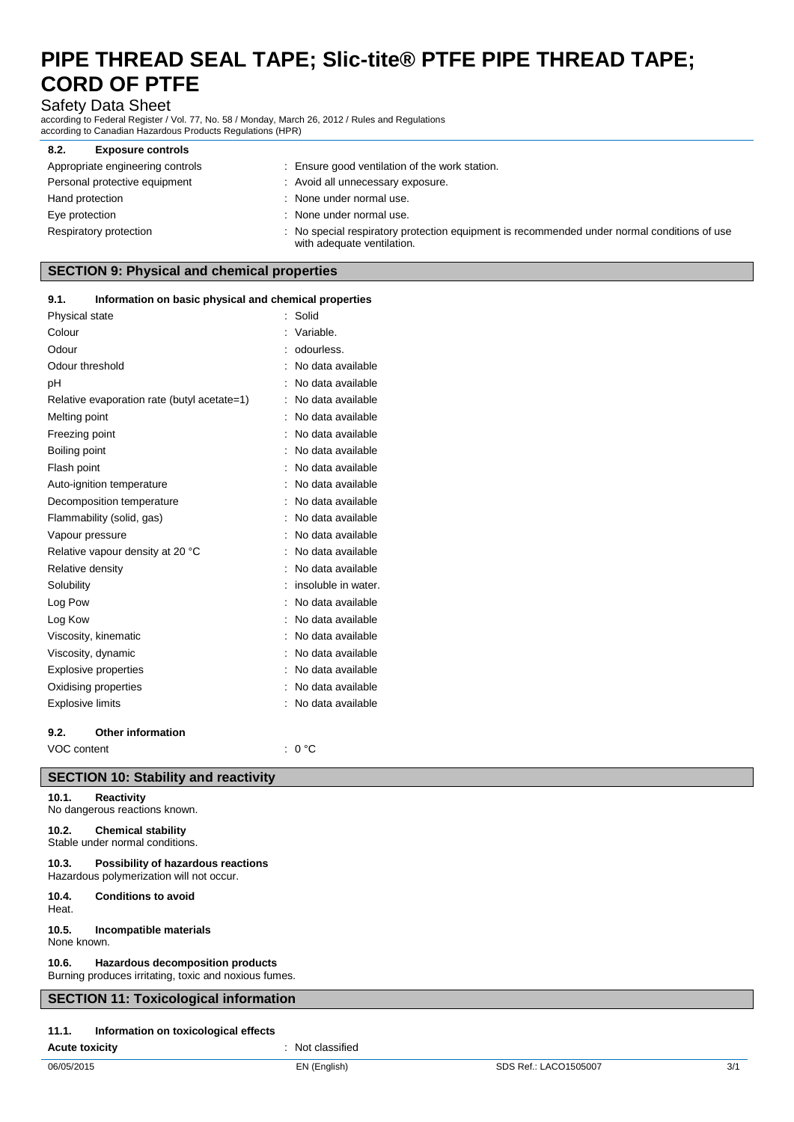Safety Data Sheet

according to Federal Register / Vol. 77, No. 58 / Monday, March 26, 2012 / Rules and Regulations according to Canadian Hazardous Products Regulations (HPR)

| <b>Exposure controls</b><br>8.2. |                                                                                                                           |
|----------------------------------|---------------------------------------------------------------------------------------------------------------------------|
| Appropriate engineering controls | : Ensure good ventilation of the work station.                                                                            |
| Personal protective equipment    | : Avoid all unnecessary exposure.                                                                                         |
| Hand protection                  | : None under normal use.                                                                                                  |
| Eye protection                   | : None under normal use.                                                                                                  |
| Respiratory protection           | : No special respiratory protection equipment is recommended under normal conditions of use<br>with adequate ventilation. |

## **SECTION 9: Physical and chemical properties**

## **9.1. Information on basic physical and chemical properties**

| Physical state              |                                             | ÷. | Solid               |
|-----------------------------|---------------------------------------------|----|---------------------|
| Colour                      |                                             |    | Variable.           |
| Odour                       |                                             |    | odourless.          |
| Odour threshold             |                                             |    | No data available   |
| pH                          |                                             |    | No data available   |
|                             | Relative evaporation rate (butyl acetate=1) |    | No data available   |
| Melting point               |                                             |    | No data available   |
| Freezing point              |                                             |    | No data available   |
| Boiling point               |                                             |    | No data available   |
| Flash point                 |                                             |    | No data available   |
|                             | Auto-ignition temperature                   |    | No data available   |
|                             | Decomposition temperature                   |    | No data available   |
|                             | Flammability (solid, gas)                   |    | No data available   |
| Vapour pressure             |                                             |    | No data available   |
|                             | Relative vapour density at 20 °C            |    | No data available   |
| Relative density            |                                             |    | No data available   |
| Solubility                  |                                             |    | insoluble in water. |
| Log Pow                     |                                             |    | No data available   |
| Log Kow                     |                                             |    | No data available   |
| Viscosity, kinematic        |                                             |    | No data available   |
| Viscosity, dynamic          |                                             |    | No data available   |
| <b>Explosive properties</b> |                                             |    | No data available   |
| Oxidising properties        |                                             |    | No data available   |
| <b>Explosive limits</b>     |                                             |    | No data available   |
| 9.2.                        | Other information                           |    |                     |

VOC content : 0 °C

## **SECTION 10: Stability and reactivity**

## **10.1. Reactivity**

No dangerous reactions known.

## **10.2. Chemical stability**

Stable under normal conditions.

## **10.3. Possibility of hazardous reactions**

Hazardous polymerization will not occur.

**10.4. Conditions to avoid** Heat.

## **10.5. Incompatible materials**

None known.

## **10.6. Hazardous decomposition products**

Burning produces irritating, toxic and noxious fumes.

## **SECTION 11: Toxicological information**

## **11.1. Information on toxicological effects**

**Acute toxicity** : Not classified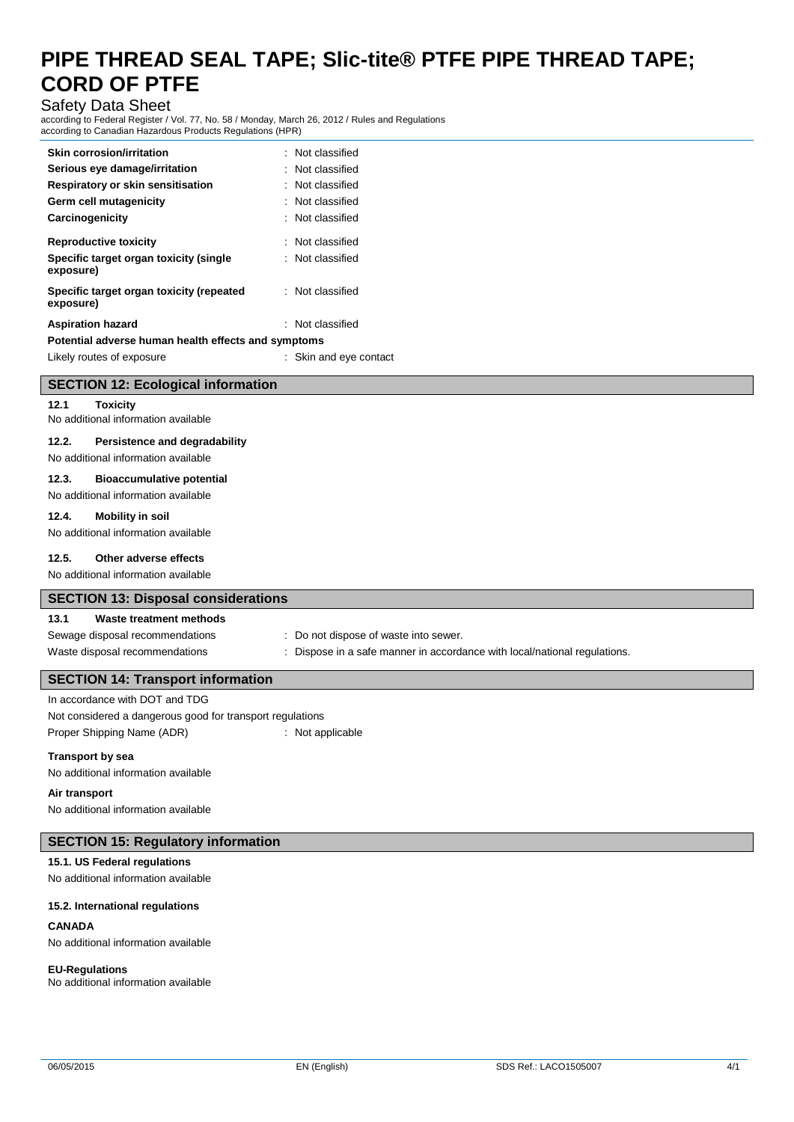## Safety Data Sheet

according to Federal Register / Vol. 77, No. 58 / Monday, March 26, 2012 / Rules and Regulations according to Canadian Hazardous Products Regulations (HPR)

| <b>Skin corrosion/irritation</b>                      | : Not classified            |
|-------------------------------------------------------|-----------------------------|
| Serious eye damage/irritation                         | $\therefore$ Not classified |
| Respiratory or skin sensitisation                     | : Not classified            |
| Germ cell mutagenicity                                | : Not classified            |
| Carcinogenicity                                       | : Not classified            |
| <b>Reproductive toxicity</b>                          | : Not classified            |
| Specific target organ toxicity (single<br>exposure)   | : Not classified            |
| Specific target organ toxicity (repeated<br>exposure) | : Not classified            |
| <b>Aspiration hazard</b>                              | $\therefore$ Not classified |
| Potential adverse human health effects and symptoms   |                             |
| Likely routes of exposure                             | : Skin and eye contact      |

|  | <b>SECTION 12: Ecological information</b> |  |
|--|-------------------------------------------|--|
|  |                                           |  |

**12.1 Toxicity**

No additional information available

## **12.2. Persistence and degradability**

No additional information available

#### **12.3. Bioaccumulative potential**

No additional information available

## **12.4. Mobility in soil**

No additional information available

## **12.5. Other adverse effects**

No additional information available

## **SECTION 13: Disposal considerations**

### **13.1 Waste treatment methods**

## Sewage disposal recommendations : Do not dispose of waste into sewer. Waste disposal recommendations : Dispose in a safe manner in accordance with local/national regulations.

## **SECTION 14: Transport information**

In accordance with DOT and TDG Not considered a dangerous good for transport regulations Proper Shipping Name (ADR) : Not applicable

#### **Transport by sea**

No additional information available

### **Air transport**

No additional information available

## **SECTION 15: Regulatory information**

#### **15.1. US Federal regulations**

No additional information available

#### **15.2. International regulations**

#### **CANADA**

No additional information available

#### **EU-Regulations**

No additional information available